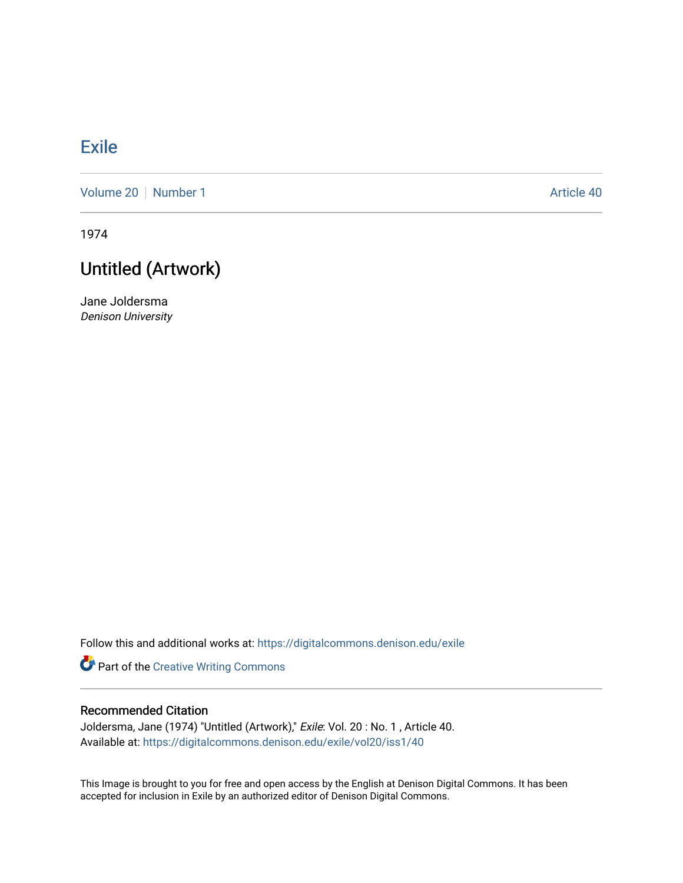## [Exile](https://digitalcommons.denison.edu/exile)

[Volume 20](https://digitalcommons.denison.edu/exile/vol20) | [Number 1](https://digitalcommons.denison.edu/exile/vol20/iss1) Article 40

1974

## Untitled (Artwork)

Jane Joldersma Denison University

Follow this and additional works at: [https://digitalcommons.denison.edu/exile](https://digitalcommons.denison.edu/exile?utm_source=digitalcommons.denison.edu%2Fexile%2Fvol20%2Fiss1%2F40&utm_medium=PDF&utm_campaign=PDFCoverPages) 

Part of the [Creative Writing Commons](http://network.bepress.com/hgg/discipline/574?utm_source=digitalcommons.denison.edu%2Fexile%2Fvol20%2Fiss1%2F40&utm_medium=PDF&utm_campaign=PDFCoverPages) 

## Recommended Citation

Joldersma, Jane (1974) "Untitled (Artwork)," Exile: Vol. 20 : No. 1 , Article 40. Available at: [https://digitalcommons.denison.edu/exile/vol20/iss1/40](https://digitalcommons.denison.edu/exile/vol20/iss1/40?utm_source=digitalcommons.denison.edu%2Fexile%2Fvol20%2Fiss1%2F40&utm_medium=PDF&utm_campaign=PDFCoverPages)

This Image is brought to you for free and open access by the English at Denison Digital Commons. It has been accepted for inclusion in Exile by an authorized editor of Denison Digital Commons.